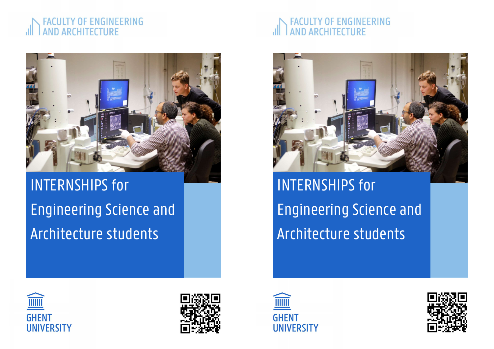### OF ENGINEERING **AND ARCHITECTURE**



# INTERNSHIPS for Engineering Science and Architecture students

## OF ENGINEERING **AND ARCHITECTURE**



INTERNSHIPS for Engineering Science and Architecture students